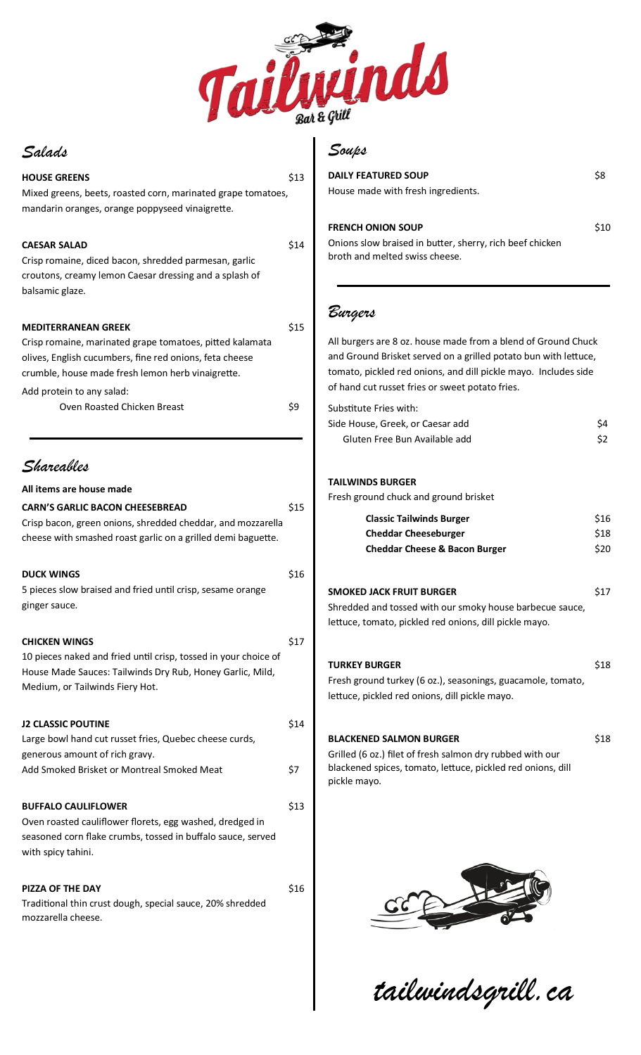

I

## *Salads*

| Saxaae                                                          |      | $-$ we prove               |
|-----------------------------------------------------------------|------|----------------------------|
| <b>HOUSE GREENS</b>                                             | \$13 | <b>DAILY FEAT</b>          |
| Mixed greens, beets, roasted corn, marinated grape tomatoes,    |      | House mad                  |
| mandarin oranges, orange poppyseed vinaigrette.                 |      |                            |
|                                                                 |      | <b>FRENCH OF</b>           |
| <b>CAESAR SALAD</b>                                             | \$14 | Onions sloy                |
| Crisp romaine, diced bacon, shredded parmesan, garlic           |      | broth and r                |
| croutons, creamy lemon Caesar dressing and a splash of          |      |                            |
| balsamic glaze.                                                 |      |                            |
|                                                                 |      |                            |
| <b>MEDITERRANEAN GREEK</b>                                      | \$15 | Burgers                    |
| Crisp romaine, marinated grape tomatoes, pitted kalamata        |      | All burgers                |
| olives, English cucumbers, fine red onions, feta cheese         |      | and Groun                  |
| crumble, house made fresh lemon herb vinaigrette.               |      | tomato, pio                |
| Add protein to any salad:                                       |      | of hand cut                |
| Oven Roasted Chicken Breast                                     | \$9  | Substitute                 |
|                                                                 |      | Side House                 |
|                                                                 |      | Gluten                     |
|                                                                 |      |                            |
| Shareables                                                      |      |                            |
| All items are house made                                        |      | <b>TAILWINDS</b>           |
| <b>CARN'S GARLIC BACON CHEESEBREAD</b>                          | \$15 | Fresh groui                |
| Crisp bacon, green onions, shredded cheddar, and mozzarella     |      | Cla                        |
| cheese with smashed roast garlic on a grilled demi baguette.    |      | Ch                         |
|                                                                 |      | Ch                         |
|                                                                 |      |                            |
| <b>DUCK WINGS</b>                                               | \$16 |                            |
| 5 pieces slow braised and fried until crisp, sesame orange      |      | <b>SMOKED JA</b>           |
| ginger sauce.                                                   |      | Shredded a                 |
|                                                                 |      | lettuce, tor               |
| <b>CHICKEN WINGS</b>                                            | \$17 |                            |
| 10 pieces naked and fried until crisp, tossed in your choice of |      | <b>TURKEY BL</b>           |
| House Made Sauces: Tailwinds Dry Rub, Honey Garlic, Mild,       |      | Fresh groui                |
| Medium, or Tailwinds Fiery Hot.                                 |      | lettuce, pic               |
|                                                                 |      |                            |
| <b>J2 CLASSIC POUTINE</b>                                       | \$14 |                            |
| Large bowl hand cut russet fries, Quebec cheese curds,          |      | <b>BLACKENEI</b>           |
| generous amount of rich gravy.                                  |      | Grilled (6 o<br>blackened: |
| Add Smoked Brisket or Montreal Smoked Meat                      | \$7  | pickle may                 |
|                                                                 |      |                            |
| <b>BUFFALO CAULIFLOWER</b>                                      | \$13 |                            |
| Oven roasted cauliflower florets, egg washed, dredged in        |      |                            |
| seasoned corn flake crumbs, tossed in buffalo sauce, served     |      |                            |
| with spicy tahini.                                              |      |                            |
|                                                                 |      |                            |
| <b>PIZZA OF THE DAY</b>                                         | \$16 |                            |
| Traditional thin crust dough, special sauce, 20% shredded       |      |                            |
| mozzarella cheese.                                              |      |                            |
|                                                                 |      |                            |

# *Soups*

| <b>DAILY FEATURED SOUP</b>         | \$8 |
|------------------------------------|-----|
| House made with fresh ingredients. |     |

#### **FRENCH ONE SOUP** \$10

ow braised in butter, sherry, rich beef chicken melted swiss cheese.

s are 8 oz. house made from a blend of Ground Chuck nd Brisket served on a grilled potato bun with lettuce, ickled red onions, and dill pickle mayo. Includes side ut russet fries or sweet potato fries.

| Substitute Fries with:           |     |
|----------------------------------|-----|
| Side House, Greek, or Caesar add | Ś4  |
| Gluten Free Bun Available add    | \$2 |

### **DS BURGER**

und chuck and ground brisket

| \$16 |
|------|
| \$18 |
| \$20 |
|      |

#### **SMOKED JACK FRUIT BURGER** \$17

and tossed with our smoky house barbecue sauce, mato, pickled red onions, dill pickle mayo.

## **TURKEY BURGER** \$18

und turkey (6 oz.), seasonings, guacamole, tomato, ickled red onions, dill pickle mayo.

#### **ED SALMON BURGER** \$18

oz.) filet of fresh salmon dry rubbed with our spices, tomato, lettuce, pickled red onions, dill yo.



*tailwindsgrill.ca*